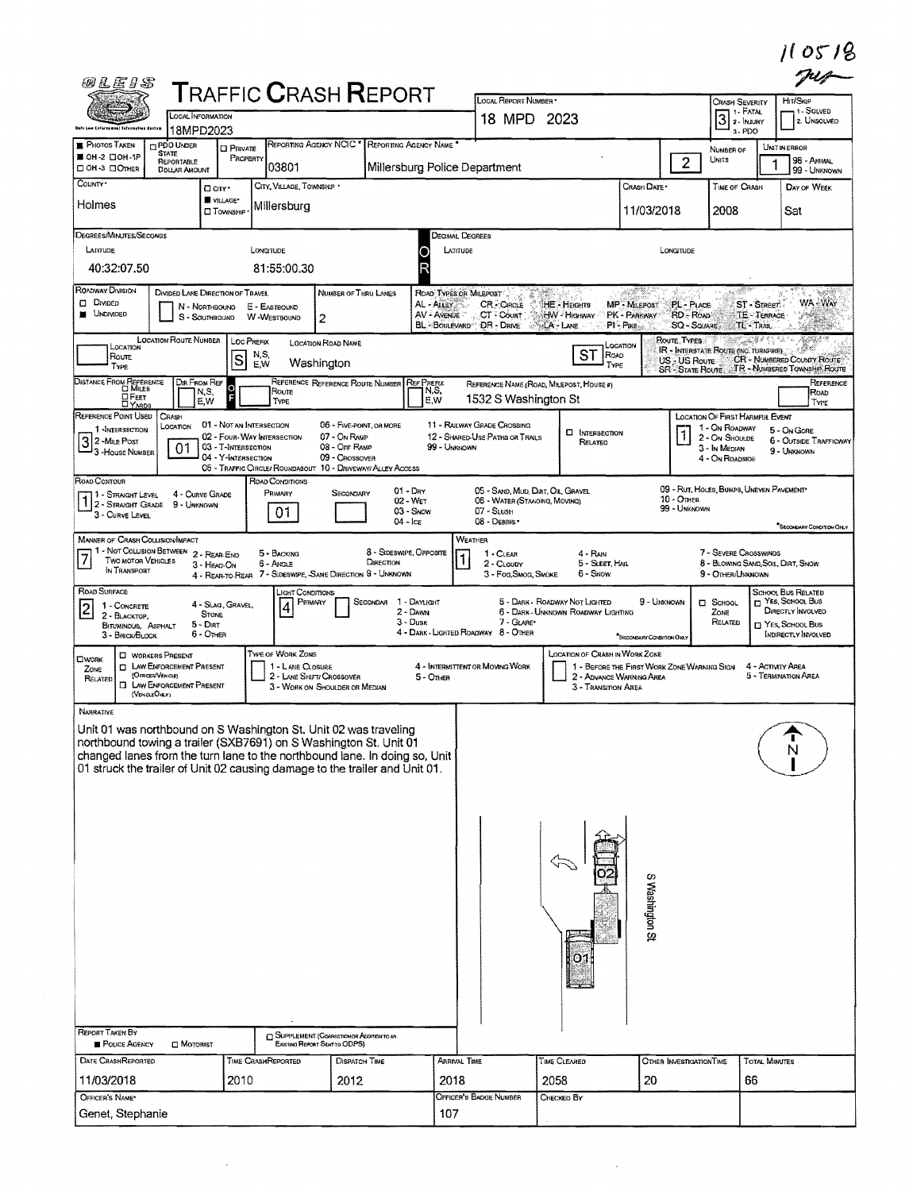|  | 11 0518 |  |  |
|--|---------|--|--|
|  |         |  |  |

| <b>TRAFFIC CRASH REPORT</b><br>LOCAL REPORT NUMBER *<br>Crash Severity<br>$3$ $\overline{\phantom{1}}$ $\overline{\phantom{1}}$ $\overline{\phantom{1}}$ $\overline{\phantom{1}}$ $\overline{\phantom{1}}$ $\overline{\phantom{1}}$ $\overline{\phantom{1}}$ $\overline{\phantom{1}}$ $\overline{\phantom{1}}$ $\overline{\phantom{1}}$ $\overline{\phantom{1}}$ $\overline{\phantom{1}}$ $\overline{\phantom{1}}$ $\overline{\phantom{1}}$ $\overline{\phantom{1}}$ $\overline{\phantom{1}}$ $\overline{\phantom{1}}$ $\overline{\phantom{1}}$<br><b>LOCAL INFORMATION</b><br>18 MPD 2023<br><b>Date Law Enforcement Information Boston</b><br>18MPD2023<br>3-PDO<br>REPORTING AGENCY NCIC * REPORTING AGENCY NAME *<br><b>F</b> PHOTOS TAKEN<br><b>PDO UNDER</b><br><b>CI PRIVATE</b><br>NUMBER OF<br><b>STATE</b><br>SI OH 2 CIOH-1P<br>PROPERTY<br>$\overline{2}$<br>Units<br>REPORTABLE<br>03801<br>Millersburg Police Department<br>⊡ ОН-3 ⊡Олнєв<br><b>DDLLAR AMOUNT</b><br>County ·<br>CITY, VILLAGE, TOWNSHIP .<br>Crash Date *<br><b>THE OF CRASH</b><br>□ CITY *<br>VILLAGE*<br>Holmes<br>Millersburg<br>11/03/2018<br>2008<br><b>CI TOWNSHIP</b><br>DEGREES/MINUTES/SECONDS<br>Decimal Degrees<br>LATITUDE<br>LONGITUDE<br>LATITUDE<br>LONGITUDE<br>40:32:07.50<br>81:55:00.30<br>ROADWAY DIVISION<br>DIVIDED LANE DIRECTION OF TRAVEL<br>NUMBER OF THRU LANES<br>ROAD TYPES OR MILEPOST<br><b>DIMDED</b><br>PL - PLACE<br>AL - ALLEY<br><b>CR-CIRCLE</b><br>HE - Heights<br><b>MP - MILEPOST</b><br>E - EASTBOUND<br>N - NORTHBOUND<br><b>UNDIVIDED</b><br>AV - AVENUE<br>CT <sup>2</sup> Court<br>HW - Highway<br>PK - PARKWAY<br>RD - ROAD<br>W-WESTBOUND<br>S - SOUTHBOUND<br>2<br>BL-BOULEVARD DR-DRIVE ALA-LANE<br>PI-PIKE<br><b>SQ - SQUARE</b><br><b>LOCATION ROUTE NUMBER</b><br>ROUTE TYPES<br>LOC PREFIX<br><b>LOCATION ROAD NAME</b><br>LOCATION<br>LOCATION<br>IR - INTERSTATE ROUTE (NC. TURNPIKE)<br>ST<br>N,S,<br>ROAD<br>Route<br>S<br>US - US Route<br>Washington<br>E.W<br>TYPE<br>TYPE<br>SR STATE ROUTE TR - NUMBERED TOWNSHIP ROUTE<br>DISTANCE FROM REFERENCE<br>DIR FROM REF<br>REFERENCE REFERENCE ROUTE NUMBER<br><b>REF PREFIX</b><br>REFERENCE NAME (ROAD, MILEPOST, HOUSE #)<br>$\frac{0}{5}$<br>N,S,<br>Route<br>N,S,<br><b>DFEET</b><br>1532 S Washington St<br>E,W<br>E, W<br>TYPE<br><b>LIYARDS</b><br>REFERENCE POINT USED<br>CRASH<br>LOCATION OF FIRST HARMFUL EVENT<br>01 - NOT AN INTERSECTION<br>11 - RAILWAY GRADE CROSSING<br>06 - FIVE-POINT, OR MORE<br>LOCATION<br>1 - On ROADWAY<br>1-INTERSECTION<br><b>D</b> INTERSECTION<br>07 - On RAMP<br>02 - Four-Way INTERSECTION<br>12 - SHARED USE PATHS OR TRAILS<br>2 - On Shoulde<br>3 2-Mile Post<br>Related<br>01<br>03 - T-INTERSECTION<br>08 - OFF RAMP<br>99 - UNKNOWN<br>3 - In Median<br>-3 - House Number<br>04 - Y-Intersection<br>09 - CROSSOVER<br>4 - On ROADSIDE<br>05 - TRAFFIC CIRCLE/ ROUNDABOUT 10 - DRIVEWAY/ ALLEY ACCESS<br>ROAD CONTOUR<br>ROAD CONDITIONS<br>09 - RUT, HOLES, BUMPS, UNEVEN PAVEMENT*<br>$01 - \text{Dry}$<br>05 - SAND, MUD, DIRT, OIL, GRAVEL<br>Primary<br>SECONDARY<br>17 - Straight Level<br>4 - CURVE GRADE<br>10 - OTHER<br>02 - WET<br>06 - Water (Standing, Moving)<br>1 2 - STRAIGHT GRADE 9 - UNKNOWN<br>99 - UNKNOWN<br>03 - Snow<br>$07 -$ Slush<br>01<br>3 - CURVE LEVEL<br>$04 -$ ICE<br>08 - DEBRIS<br><b>MANNER OF CRASH COLLISION/MPACT</b><br>WEATHER<br>1 - Not Collision Between 2 - Rear-End<br>8 - SIDESWIPE, OPPOSITE<br>7 - SEVERE CROSSWINDS<br>5 - BACKING<br>1 - CLEAR<br>4 - RAIN<br>1<br>TWO MOTOR VEHICLES<br>DIRECTION<br>6 - Angle<br>5 - SLEET, HALL<br>2 - CLOUDY<br>3 - HEAD-ON<br>IN TRANSPORT<br>4 - REAR-TO-REAR 7 - SIDESWIPE, -SAME DIRECTION 9 - UNKNOWN<br>6 - SNOW<br>3 - Fog, Smog, Smoke<br>9 - OTHER/UNKNOWN<br>ROAD SURFACE<br>"IGHT CONDITIONS<br>9 - UMKNOWN<br>SECONDAR 1 - DAYLIGHT<br>5 - DARK - ROADWAY NOT LIGHTED<br>PRIMARY<br>$\Box$ SCHOOL<br>4 - Slag, Gravel,<br>$\overline{2}$<br>1 - CONCRETE<br>4<br>2 - DAWN<br>6 - DARK - UNKNOWN ROADWAY LIGHTING<br>ZONE<br><b>STONE</b><br>2 - BLACKTOP.<br>3 - Dusk<br>7 - GLARE*<br>RELATED<br>$5 - DIRT$<br><b>BITUMINOUS, ASPHALT</b><br>4 - DARK - LIGHTED ROADWAY 8 - OTHER<br>6 - Other<br>3 - BRICK/BLOCK<br>*BECONDARY CONDITION ONLY<br>TYPE OF WORK ZONE<br><b>LOCATION OF CRASH IN WORK ZONE</b><br><b>C</b> WORKERS PRESENT<br><b>CIWORK</b><br><b>T LAW ENFORCEMENT PRESENT</b><br>1 - LANE CLOSURE<br>4 - INTERMITTENT OR MOVING WORK<br>1 - BEFORE THE FIRST WORK ZONE WARNING SIGN<br>ZONE<br>(OFFICER/VENICLE)<br>2 - LANE SHIFT/ CROSSOVER<br>2 - ADVANCE WARNING AREA<br>$5 -$ OTHER<br>RELATED<br><b>I LAW ENFORCEMENT PRESENT</b><br>3 - WORK ON SHOULDER OR MEDIAN<br>3 - TRANSITION AREA<br>(VEHOLEOHLY)<br>NARRATIVE<br>Unit 01 was northbound on S Washington St. Unit 02 was traveling<br>northbound towing a trailer (SXB7691) on S Washington St. Unit 01<br>changed lanes from the turn lane to the northbound lane. In doing so, Unit 01 struck the trailer of Unit 02 causing damage to the trailer and Unit 01. | HIT/SKIP<br>1-SOLVED<br>2. UNSOLVED<br><b>UNITINERROR</b><br>98 - ANIMAL<br>99 - UNKNOWN<br>DAY OF WEEK<br>Sat<br>WA-WAY<br>ST - Street<br><b>TE TERRACE</b><br>V Henry<br><b>TL TRAIL</b><br>6229029<br>Salta de E<br>CR - NUMBERED COUNTY ROUTE |
|---------------------------------------------------------------------------------------------------------------------------------------------------------------------------------------------------------------------------------------------------------------------------------------------------------------------------------------------------------------------------------------------------------------------------------------------------------------------------------------------------------------------------------------------------------------------------------------------------------------------------------------------------------------------------------------------------------------------------------------------------------------------------------------------------------------------------------------------------------------------------------------------------------------------------------------------------------------------------------------------------------------------------------------------------------------------------------------------------------------------------------------------------------------------------------------------------------------------------------------------------------------------------------------------------------------------------------------------------------------------------------------------------------------------------------------------------------------------------------------------------------------------------------------------------------------------------------------------------------------------------------------------------------------------------------------------------------------------------------------------------------------------------------------------------------------------------------------------------------------------------------------------------------------------------------------------------------------------------------------------------------------------------------------------------------------------------------------------------------------------------------------------------------------------------------------------------------------------------------------------------------------------------------------------------------------------------------------------------------------------------------------------------------------------------------------------------------------------------------------------------------------------------------------------------------------------------------------------------------------------------------------------------------------------------------------------------------------------------------------------------------------------------------------------------------------------------------------------------------------------------------------------------------------------------------------------------------------------------------------------------------------------------------------------------------------------------------------------------------------------------------------------------------------------------------------------------------------------------------------------------------------------------------------------------------------------------------------------------------------------------------------------------------------------------------------------------------------------------------------------------------------------------------------------------------------------------------------------------------------------------------------------------------------------------------------------------------------------------------------------------------------------------------------------------------------------------------------------------------------------------------------------------------------------------------------------------------------------------------------------------------------------------------------------------------------------------------------------------------------------------------------------------------------------------------------------------------------------------------------------------------------------------------------------------------------------------------------------------------------------------------------------------------------------------------------------------------------------------------------------------------------------------------------------------------------------------------------------------------------------------------------------------------------------------------------------------------------------------------------------------------------------------------------------------------------------------------------------------------------------------------------------------------------------------------------------------------------------------------------------------------------------------------------------------------------------------------------------------|---------------------------------------------------------------------------------------------------------------------------------------------------------------------------------------------------------------------------------------------------|
|                                                                                                                                                                                                                                                                                                                                                                                                                                                                                                                                                                                                                                                                                                                                                                                                                                                                                                                                                                                                                                                                                                                                                                                                                                                                                                                                                                                                                                                                                                                                                                                                                                                                                                                                                                                                                                                                                                                                                                                                                                                                                                                                                                                                                                                                                                                                                                                                                                                                                                                                                                                                                                                                                                                                                                                                                                                                                                                                                                                                                                                                                                                                                                                                                                                                                                                                                                                                                                                                                                                                                                                                                                                                                                                                                                                                                                                                                                                                                                                                                                                                                                                                                                                                                                                                                                                                                                                                                                                                                                                                                                                                                                                                                                                                                                                                                                                                                                                                                                                                                                                                                                   |                                                                                                                                                                                                                                                   |
|                                                                                                                                                                                                                                                                                                                                                                                                                                                                                                                                                                                                                                                                                                                                                                                                                                                                                                                                                                                                                                                                                                                                                                                                                                                                                                                                                                                                                                                                                                                                                                                                                                                                                                                                                                                                                                                                                                                                                                                                                                                                                                                                                                                                                                                                                                                                                                                                                                                                                                                                                                                                                                                                                                                                                                                                                                                                                                                                                                                                                                                                                                                                                                                                                                                                                                                                                                                                                                                                                                                                                                                                                                                                                                                                                                                                                                                                                                                                                                                                                                                                                                                                                                                                                                                                                                                                                                                                                                                                                                                                                                                                                                                                                                                                                                                                                                                                                                                                                                                                                                                                                                   |                                                                                                                                                                                                                                                   |
|                                                                                                                                                                                                                                                                                                                                                                                                                                                                                                                                                                                                                                                                                                                                                                                                                                                                                                                                                                                                                                                                                                                                                                                                                                                                                                                                                                                                                                                                                                                                                                                                                                                                                                                                                                                                                                                                                                                                                                                                                                                                                                                                                                                                                                                                                                                                                                                                                                                                                                                                                                                                                                                                                                                                                                                                                                                                                                                                                                                                                                                                                                                                                                                                                                                                                                                                                                                                                                                                                                                                                                                                                                                                                                                                                                                                                                                                                                                                                                                                                                                                                                                                                                                                                                                                                                                                                                                                                                                                                                                                                                                                                                                                                                                                                                                                                                                                                                                                                                                                                                                                                                   |                                                                                                                                                                                                                                                   |
|                                                                                                                                                                                                                                                                                                                                                                                                                                                                                                                                                                                                                                                                                                                                                                                                                                                                                                                                                                                                                                                                                                                                                                                                                                                                                                                                                                                                                                                                                                                                                                                                                                                                                                                                                                                                                                                                                                                                                                                                                                                                                                                                                                                                                                                                                                                                                                                                                                                                                                                                                                                                                                                                                                                                                                                                                                                                                                                                                                                                                                                                                                                                                                                                                                                                                                                                                                                                                                                                                                                                                                                                                                                                                                                                                                                                                                                                                                                                                                                                                                                                                                                                                                                                                                                                                                                                                                                                                                                                                                                                                                                                                                                                                                                                                                                                                                                                                                                                                                                                                                                                                                   |                                                                                                                                                                                                                                                   |
|                                                                                                                                                                                                                                                                                                                                                                                                                                                                                                                                                                                                                                                                                                                                                                                                                                                                                                                                                                                                                                                                                                                                                                                                                                                                                                                                                                                                                                                                                                                                                                                                                                                                                                                                                                                                                                                                                                                                                                                                                                                                                                                                                                                                                                                                                                                                                                                                                                                                                                                                                                                                                                                                                                                                                                                                                                                                                                                                                                                                                                                                                                                                                                                                                                                                                                                                                                                                                                                                                                                                                                                                                                                                                                                                                                                                                                                                                                                                                                                                                                                                                                                                                                                                                                                                                                                                                                                                                                                                                                                                                                                                                                                                                                                                                                                                                                                                                                                                                                                                                                                                                                   |                                                                                                                                                                                                                                                   |
|                                                                                                                                                                                                                                                                                                                                                                                                                                                                                                                                                                                                                                                                                                                                                                                                                                                                                                                                                                                                                                                                                                                                                                                                                                                                                                                                                                                                                                                                                                                                                                                                                                                                                                                                                                                                                                                                                                                                                                                                                                                                                                                                                                                                                                                                                                                                                                                                                                                                                                                                                                                                                                                                                                                                                                                                                                                                                                                                                                                                                                                                                                                                                                                                                                                                                                                                                                                                                                                                                                                                                                                                                                                                                                                                                                                                                                                                                                                                                                                                                                                                                                                                                                                                                                                                                                                                                                                                                                                                                                                                                                                                                                                                                                                                                                                                                                                                                                                                                                                                                                                                                                   |                                                                                                                                                                                                                                                   |
|                                                                                                                                                                                                                                                                                                                                                                                                                                                                                                                                                                                                                                                                                                                                                                                                                                                                                                                                                                                                                                                                                                                                                                                                                                                                                                                                                                                                                                                                                                                                                                                                                                                                                                                                                                                                                                                                                                                                                                                                                                                                                                                                                                                                                                                                                                                                                                                                                                                                                                                                                                                                                                                                                                                                                                                                                                                                                                                                                                                                                                                                                                                                                                                                                                                                                                                                                                                                                                                                                                                                                                                                                                                                                                                                                                                                                                                                                                                                                                                                                                                                                                                                                                                                                                                                                                                                                                                                                                                                                                                                                                                                                                                                                                                                                                                                                                                                                                                                                                                                                                                                                                   |                                                                                                                                                                                                                                                   |
|                                                                                                                                                                                                                                                                                                                                                                                                                                                                                                                                                                                                                                                                                                                                                                                                                                                                                                                                                                                                                                                                                                                                                                                                                                                                                                                                                                                                                                                                                                                                                                                                                                                                                                                                                                                                                                                                                                                                                                                                                                                                                                                                                                                                                                                                                                                                                                                                                                                                                                                                                                                                                                                                                                                                                                                                                                                                                                                                                                                                                                                                                                                                                                                                                                                                                                                                                                                                                                                                                                                                                                                                                                                                                                                                                                                                                                                                                                                                                                                                                                                                                                                                                                                                                                                                                                                                                                                                                                                                                                                                                                                                                                                                                                                                                                                                                                                                                                                                                                                                                                                                                                   |                                                                                                                                                                                                                                                   |
|                                                                                                                                                                                                                                                                                                                                                                                                                                                                                                                                                                                                                                                                                                                                                                                                                                                                                                                                                                                                                                                                                                                                                                                                                                                                                                                                                                                                                                                                                                                                                                                                                                                                                                                                                                                                                                                                                                                                                                                                                                                                                                                                                                                                                                                                                                                                                                                                                                                                                                                                                                                                                                                                                                                                                                                                                                                                                                                                                                                                                                                                                                                                                                                                                                                                                                                                                                                                                                                                                                                                                                                                                                                                                                                                                                                                                                                                                                                                                                                                                                                                                                                                                                                                                                                                                                                                                                                                                                                                                                                                                                                                                                                                                                                                                                                                                                                                                                                                                                                                                                                                                                   |                                                                                                                                                                                                                                                   |
|                                                                                                                                                                                                                                                                                                                                                                                                                                                                                                                                                                                                                                                                                                                                                                                                                                                                                                                                                                                                                                                                                                                                                                                                                                                                                                                                                                                                                                                                                                                                                                                                                                                                                                                                                                                                                                                                                                                                                                                                                                                                                                                                                                                                                                                                                                                                                                                                                                                                                                                                                                                                                                                                                                                                                                                                                                                                                                                                                                                                                                                                                                                                                                                                                                                                                                                                                                                                                                                                                                                                                                                                                                                                                                                                                                                                                                                                                                                                                                                                                                                                                                                                                                                                                                                                                                                                                                                                                                                                                                                                                                                                                                                                                                                                                                                                                                                                                                                                                                                                                                                                                                   | REFERENCE<br>ROAD<br>TYPE                                                                                                                                                                                                                         |
|                                                                                                                                                                                                                                                                                                                                                                                                                                                                                                                                                                                                                                                                                                                                                                                                                                                                                                                                                                                                                                                                                                                                                                                                                                                                                                                                                                                                                                                                                                                                                                                                                                                                                                                                                                                                                                                                                                                                                                                                                                                                                                                                                                                                                                                                                                                                                                                                                                                                                                                                                                                                                                                                                                                                                                                                                                                                                                                                                                                                                                                                                                                                                                                                                                                                                                                                                                                                                                                                                                                                                                                                                                                                                                                                                                                                                                                                                                                                                                                                                                                                                                                                                                                                                                                                                                                                                                                                                                                                                                                                                                                                                                                                                                                                                                                                                                                                                                                                                                                                                                                                                                   | 5 - On Gore<br>6 - OUTSIDE TRAFFICWAY<br>9 - UNKNOWN                                                                                                                                                                                              |
|                                                                                                                                                                                                                                                                                                                                                                                                                                                                                                                                                                                                                                                                                                                                                                                                                                                                                                                                                                                                                                                                                                                                                                                                                                                                                                                                                                                                                                                                                                                                                                                                                                                                                                                                                                                                                                                                                                                                                                                                                                                                                                                                                                                                                                                                                                                                                                                                                                                                                                                                                                                                                                                                                                                                                                                                                                                                                                                                                                                                                                                                                                                                                                                                                                                                                                                                                                                                                                                                                                                                                                                                                                                                                                                                                                                                                                                                                                                                                                                                                                                                                                                                                                                                                                                                                                                                                                                                                                                                                                                                                                                                                                                                                                                                                                                                                                                                                                                                                                                                                                                                                                   | SECONDARY CONDITION ONLY                                                                                                                                                                                                                          |
|                                                                                                                                                                                                                                                                                                                                                                                                                                                                                                                                                                                                                                                                                                                                                                                                                                                                                                                                                                                                                                                                                                                                                                                                                                                                                                                                                                                                                                                                                                                                                                                                                                                                                                                                                                                                                                                                                                                                                                                                                                                                                                                                                                                                                                                                                                                                                                                                                                                                                                                                                                                                                                                                                                                                                                                                                                                                                                                                                                                                                                                                                                                                                                                                                                                                                                                                                                                                                                                                                                                                                                                                                                                                                                                                                                                                                                                                                                                                                                                                                                                                                                                                                                                                                                                                                                                                                                                                                                                                                                                                                                                                                                                                                                                                                                                                                                                                                                                                                                                                                                                                                                   | 8 - BLOWING SAND, SOL, DIRT, SNOW                                                                                                                                                                                                                 |
|                                                                                                                                                                                                                                                                                                                                                                                                                                                                                                                                                                                                                                                                                                                                                                                                                                                                                                                                                                                                                                                                                                                                                                                                                                                                                                                                                                                                                                                                                                                                                                                                                                                                                                                                                                                                                                                                                                                                                                                                                                                                                                                                                                                                                                                                                                                                                                                                                                                                                                                                                                                                                                                                                                                                                                                                                                                                                                                                                                                                                                                                                                                                                                                                                                                                                                                                                                                                                                                                                                                                                                                                                                                                                                                                                                                                                                                                                                                                                                                                                                                                                                                                                                                                                                                                                                                                                                                                                                                                                                                                                                                                                                                                                                                                                                                                                                                                                                                                                                                                                                                                                                   | <b>SCHOOL BUS RELATED</b><br>T YES, SCHOOL Bus<br>DIRECTLY INVOLVED<br>T YES, SCHOOL BUS<br>INDIRECTLY INVOLVED                                                                                                                                   |
|                                                                                                                                                                                                                                                                                                                                                                                                                                                                                                                                                                                                                                                                                                                                                                                                                                                                                                                                                                                                                                                                                                                                                                                                                                                                                                                                                                                                                                                                                                                                                                                                                                                                                                                                                                                                                                                                                                                                                                                                                                                                                                                                                                                                                                                                                                                                                                                                                                                                                                                                                                                                                                                                                                                                                                                                                                                                                                                                                                                                                                                                                                                                                                                                                                                                                                                                                                                                                                                                                                                                                                                                                                                                                                                                                                                                                                                                                                                                                                                                                                                                                                                                                                                                                                                                                                                                                                                                                                                                                                                                                                                                                                                                                                                                                                                                                                                                                                                                                                                                                                                                                                   | 4 - ACTIVITY AREA<br>5 - TERMINATION AREA                                                                                                                                                                                                         |
|                                                                                                                                                                                                                                                                                                                                                                                                                                                                                                                                                                                                                                                                                                                                                                                                                                                                                                                                                                                                                                                                                                                                                                                                                                                                                                                                                                                                                                                                                                                                                                                                                                                                                                                                                                                                                                                                                                                                                                                                                                                                                                                                                                                                                                                                                                                                                                                                                                                                                                                                                                                                                                                                                                                                                                                                                                                                                                                                                                                                                                                                                                                                                                                                                                                                                                                                                                                                                                                                                                                                                                                                                                                                                                                                                                                                                                                                                                                                                                                                                                                                                                                                                                                                                                                                                                                                                                                                                                                                                                                                                                                                                                                                                                                                                                                                                                                                                                                                                                                                                                                                                                   | Ņ                                                                                                                                                                                                                                                 |
| S Washington St<br>О1                                                                                                                                                                                                                                                                                                                                                                                                                                                                                                                                                                                                                                                                                                                                                                                                                                                                                                                                                                                                                                                                                                                                                                                                                                                                                                                                                                                                                                                                                                                                                                                                                                                                                                                                                                                                                                                                                                                                                                                                                                                                                                                                                                                                                                                                                                                                                                                                                                                                                                                                                                                                                                                                                                                                                                                                                                                                                                                                                                                                                                                                                                                                                                                                                                                                                                                                                                                                                                                                                                                                                                                                                                                                                                                                                                                                                                                                                                                                                                                                                                                                                                                                                                                                                                                                                                                                                                                                                                                                                                                                                                                                                                                                                                                                                                                                                                                                                                                                                                                                                                                                             |                                                                                                                                                                                                                                                   |
| <b>REPORT TAKEN BY</b><br><b>D</b> SUPPLEMENT (CORRECTION OR ADDITION TO AN<br><b>POLICE AGENCY</b><br>MOTORIST<br>Existing Report Sent to ODPS)<br>DATE CRASHREPORTED<br>TIME CRASHREPORTED<br>ARRIVAL TIME<br>TIME CLEARED<br>OTHER INVESTIGATION TIME<br><b>DISPATCH TIME</b>                                                                                                                                                                                                                                                                                                                                                                                                                                                                                                                                                                                                                                                                                                                                                                                                                                                                                                                                                                                                                                                                                                                                                                                                                                                                                                                                                                                                                                                                                                                                                                                                                                                                                                                                                                                                                                                                                                                                                                                                                                                                                                                                                                                                                                                                                                                                                                                                                                                                                                                                                                                                                                                                                                                                                                                                                                                                                                                                                                                                                                                                                                                                                                                                                                                                                                                                                                                                                                                                                                                                                                                                                                                                                                                                                                                                                                                                                                                                                                                                                                                                                                                                                                                                                                                                                                                                                                                                                                                                                                                                                                                                                                                                                                                                                                                                                  |                                                                                                                                                                                                                                                   |
|                                                                                                                                                                                                                                                                                                                                                                                                                                                                                                                                                                                                                                                                                                                                                                                                                                                                                                                                                                                                                                                                                                                                                                                                                                                                                                                                                                                                                                                                                                                                                                                                                                                                                                                                                                                                                                                                                                                                                                                                                                                                                                                                                                                                                                                                                                                                                                                                                                                                                                                                                                                                                                                                                                                                                                                                                                                                                                                                                                                                                                                                                                                                                                                                                                                                                                                                                                                                                                                                                                                                                                                                                                                                                                                                                                                                                                                                                                                                                                                                                                                                                                                                                                                                                                                                                                                                                                                                                                                                                                                                                                                                                                                                                                                                                                                                                                                                                                                                                                                                                                                                                                   | <b>TOTAL MINUTES</b>                                                                                                                                                                                                                              |
| 11/03/2018<br>2018<br>20<br>2010<br>2012<br>2058<br>OFFICER'S NAME*<br>OFFICER'S BADGE NUMBER<br>CHECKED BY                                                                                                                                                                                                                                                                                                                                                                                                                                                                                                                                                                                                                                                                                                                                                                                                                                                                                                                                                                                                                                                                                                                                                                                                                                                                                                                                                                                                                                                                                                                                                                                                                                                                                                                                                                                                                                                                                                                                                                                                                                                                                                                                                                                                                                                                                                                                                                                                                                                                                                                                                                                                                                                                                                                                                                                                                                                                                                                                                                                                                                                                                                                                                                                                                                                                                                                                                                                                                                                                                                                                                                                                                                                                                                                                                                                                                                                                                                                                                                                                                                                                                                                                                                                                                                                                                                                                                                                                                                                                                                                                                                                                                                                                                                                                                                                                                                                                                                                                                                                       | 66                                                                                                                                                                                                                                                |

 $\mathcal{L}^{\text{max}}_{\text{max}}$ 

 $\mathcal{L}^{\text{max}}_{\text{max}}$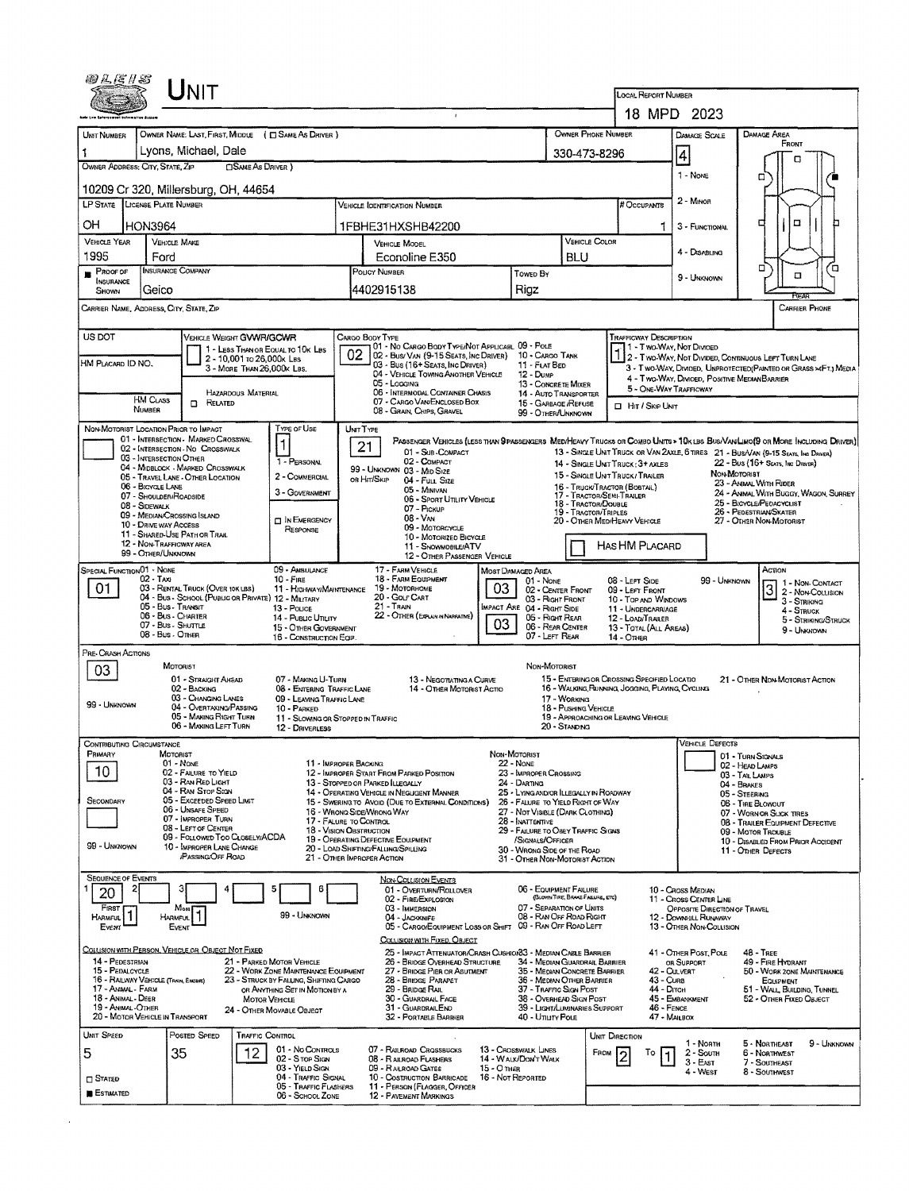|                                                                              | LINIT                                                                                                                                                                                                                    |                                                                                                                                                                |                                                                                                                                                                                                   |                                                                                                                                                              |                                                                                                                                                               | <b>LOCAL REPORT NUMBER</b>                                                                                                     |                                                  |                                                                                                                                                                                                                                                                                                                                           |  |  |  |
|------------------------------------------------------------------------------|--------------------------------------------------------------------------------------------------------------------------------------------------------------------------------------------------------------------------|----------------------------------------------------------------------------------------------------------------------------------------------------------------|---------------------------------------------------------------------------------------------------------------------------------------------------------------------------------------------------|--------------------------------------------------------------------------------------------------------------------------------------------------------------|---------------------------------------------------------------------------------------------------------------------------------------------------------------|--------------------------------------------------------------------------------------------------------------------------------|--------------------------------------------------|-------------------------------------------------------------------------------------------------------------------------------------------------------------------------------------------------------------------------------------------------------------------------------------------------------------------------------------------|--|--|--|
|                                                                              |                                                                                                                                                                                                                          |                                                                                                                                                                |                                                                                                                                                                                                   |                                                                                                                                                              |                                                                                                                                                               | 18 MPD 2023                                                                                                                    |                                                  |                                                                                                                                                                                                                                                                                                                                           |  |  |  |
| UNIT NUMBER                                                                  | OWNER NAME: LAST, FIRST, MIDDLE ( C SAME AS DRIVER )                                                                                                                                                                     |                                                                                                                                                                |                                                                                                                                                                                                   |                                                                                                                                                              | OWNER PHONE NUMBER                                                                                                                                            |                                                                                                                                | DAMAGE SCALE                                     | DAMAGE AREA                                                                                                                                                                                                                                                                                                                               |  |  |  |
| 1                                                                            | Lyons, Michael, Dale                                                                                                                                                                                                     |                                                                                                                                                                |                                                                                                                                                                                                   |                                                                                                                                                              | 330-473-8296                                                                                                                                                  | 4                                                                                                                              |                                                  | Front                                                                                                                                                                                                                                                                                                                                     |  |  |  |
|                                                                              | OWNER ADDRESS: CITY, STATE, ZIP<br><b>SAME AS DRIVER</b> )                                                                                                                                                               |                                                                                                                                                                |                                                                                                                                                                                                   |                                                                                                                                                              |                                                                                                                                                               |                                                                                                                                |                                                  | о                                                                                                                                                                                                                                                                                                                                         |  |  |  |
|                                                                              | 10209 Cr 320, Millersburg, OH, 44654                                                                                                                                                                                     |                                                                                                                                                                |                                                                                                                                                                                                   |                                                                                                                                                              |                                                                                                                                                               |                                                                                                                                | 1 - None                                         | ▫                                                                                                                                                                                                                                                                                                                                         |  |  |  |
|                                                                              | LP STATE LICENSE PLATE NUMBER                                                                                                                                                                                            |                                                                                                                                                                | <b>VEHICLE IDENTIFICATION NUMBER</b>                                                                                                                                                              |                                                                                                                                                              |                                                                                                                                                               | # Occupants                                                                                                                    | 2 - MINOR                                        |                                                                                                                                                                                                                                                                                                                                           |  |  |  |
|                                                                              |                                                                                                                                                                                                                          |                                                                                                                                                                |                                                                                                                                                                                                   |                                                                                                                                                              |                                                                                                                                                               |                                                                                                                                |                                                  |                                                                                                                                                                                                                                                                                                                                           |  |  |  |
| OН                                                                           | <b>HON3964</b>                                                                                                                                                                                                           |                                                                                                                                                                | 1FBHE31HXSHB42200                                                                                                                                                                                 |                                                                                                                                                              |                                                                                                                                                               | $\Box$<br>□<br>1<br>3 - FUNCTIONAL                                                                                             |                                                  |                                                                                                                                                                                                                                                                                                                                           |  |  |  |
| <b>VEHICLE YEAR</b><br>1995                                                  | <b>VEHICLE MAKE</b>                                                                                                                                                                                                      |                                                                                                                                                                | <b>VEHICLE MODEL</b>                                                                                                                                                                              |                                                                                                                                                              | VEHICLE COLOR                                                                                                                                                 |                                                                                                                                | 4 - DISABLING                                    |                                                                                                                                                                                                                                                                                                                                           |  |  |  |
| <b>PROOF OF</b>                                                              | Ford<br>INSURANCE COMPANY                                                                                                                                                                                                |                                                                                                                                                                | Econoline E350<br>POLICY NUMBER                                                                                                                                                                   |                                                                                                                                                              | <b>BLU</b>                                                                                                                                                    |                                                                                                                                |                                                  | о<br>о                                                                                                                                                                                                                                                                                                                                    |  |  |  |
| INSURANCE                                                                    |                                                                                                                                                                                                                          |                                                                                                                                                                |                                                                                                                                                                                                   | Towed By                                                                                                                                                     |                                                                                                                                                               |                                                                                                                                | 9 - UNKNOWN                                      | $\Box$                                                                                                                                                                                                                                                                                                                                    |  |  |  |
| SHOWN                                                                        | Geico                                                                                                                                                                                                                    |                                                                                                                                                                | 4402915138                                                                                                                                                                                        | Riaz                                                                                                                                                         |                                                                                                                                                               |                                                                                                                                |                                                  | RET                                                                                                                                                                                                                                                                                                                                       |  |  |  |
|                                                                              | Carrier Name, Address, City, State, Zip                                                                                                                                                                                  |                                                                                                                                                                |                                                                                                                                                                                                   |                                                                                                                                                              |                                                                                                                                                               |                                                                                                                                |                                                  | CARRIER PHONE                                                                                                                                                                                                                                                                                                                             |  |  |  |
|                                                                              |                                                                                                                                                                                                                          |                                                                                                                                                                |                                                                                                                                                                                                   |                                                                                                                                                              |                                                                                                                                                               |                                                                                                                                |                                                  |                                                                                                                                                                                                                                                                                                                                           |  |  |  |
| US DOT                                                                       | VEHICLE WEIGHT GVWR/GCWR<br>1 - LESS THAN OR EQUAL TO 10K LBS                                                                                                                                                            |                                                                                                                                                                | Cargo Body Type<br>01 - No CARGO BODY TYPE/NOT APPLICABL 09 - POLE                                                                                                                                |                                                                                                                                                              |                                                                                                                                                               | <b>TRAFFICWAY DESCRIPTION</b><br>11 - Two-Way, Not Divided                                                                     |                                                  |                                                                                                                                                                                                                                                                                                                                           |  |  |  |
| HM PLACARD ID NO.                                                            | 2 - 10,001 to 26,000k Las                                                                                                                                                                                                |                                                                                                                                                                | 02 <sub>1</sub><br>02 - Bus/ Van (9-15 Seats, Inc Driver)<br>03 - Bus (16+ Seats, Inc Driver)                                                                                                     | 10 - CARGO TANK<br>11 - FLAT BED                                                                                                                             |                                                                                                                                                               |                                                                                                                                |                                                  | 2 - Two-Way, Not Divided, Continuous Left Turn Lane<br>3 - T WO-WAY, DIMDED, UNPROTECTED (PAINTED OR GRASS > <ft.) media<="" td=""></ft.)>                                                                                                                                                                                                |  |  |  |
|                                                                              | 3 - MORE THAN 26,000K LBS.                                                                                                                                                                                               |                                                                                                                                                                | 04 - VEHICLE TOWING ANOTHER VEHICLE                                                                                                                                                               | 12 - Duse                                                                                                                                                    |                                                                                                                                                               | 4 - Two-Way, Divided, Positive MedianBarrier                                                                                   |                                                  |                                                                                                                                                                                                                                                                                                                                           |  |  |  |
|                                                                              | <b>HAZARDOUS MATERIAL</b>                                                                                                                                                                                                |                                                                                                                                                                | 05 - Logging<br>06 - INTERMODAL CONTAINER CHASIS                                                                                                                                                  | 13 - CONCRETE MIXER<br>14 - AUTO TRANSPORTER                                                                                                                 |                                                                                                                                                               | 5 - ONE-WAY TRAFFICWAY                                                                                                         |                                                  |                                                                                                                                                                                                                                                                                                                                           |  |  |  |
|                                                                              | HM CLASS<br><b>CI RELATED</b><br>NUMBER                                                                                                                                                                                  |                                                                                                                                                                | 07 - CARGO VAN/ENCLOSED BOX<br>08 - GRAIN, CHIPS, GRAVEL                                                                                                                                          | 15 - GARBAGE /REFUSE<br>99 - OTHER/UNKNOWN                                                                                                                   |                                                                                                                                                               | □ Hit / Skip Unit                                                                                                              |                                                  |                                                                                                                                                                                                                                                                                                                                           |  |  |  |
|                                                                              | NON-MOTORIST LOCATION PRIOR TO IMPACT                                                                                                                                                                                    | TYPE OF USE                                                                                                                                                    | UNIT TYPE                                                                                                                                                                                         |                                                                                                                                                              |                                                                                                                                                               |                                                                                                                                |                                                  |                                                                                                                                                                                                                                                                                                                                           |  |  |  |
|                                                                              | 01 - INTERSECTION - MARKED CROSSWAL<br>02 - INTERSECTION NO CROSSWALK<br>03 - INTERSECTION OTHER<br>04 - MIDBLOCK - MARKED CROSSWALK<br>05 - TRAVEL LANE - OTHER LOCATION<br>06 - BICYCLE LANE<br>07 - SHOULDER/ROADSIDE | 1 - PERSONAL<br>2 - COMMERCIAL<br>3 - GOVERNMENT                                                                                                               | 21<br>01 - Sub-COMPACT<br>02 - COMPACT<br>99 - UNKNOWN 03 - MID SIZE<br>ов Hit/Skip<br>$04 - Fu$ Size<br>05 - Minivan<br>06 - Sport UTILITY VEHICLE                                               |                                                                                                                                                              | 14 - SINGLE UNIT TRUCK: 3+ AXLES<br>15 - SINGLE UNIT TRUCK/ TRAILER<br>16 - TRUCK/TRACTOR (BOBTAIL)<br>17 - TRACTOR/SEMI-TRAILER                              |                                                                                                                                |                                                  | Passenger Vehicles (less than 9 passengers Med/Heavy Trucks or Combo Units > 10k lbs Bus/Van/Limo(9 or More Including Driver)<br>13 - SINGLE UNIT TRUCK OR VAN ZAXLE, 6 TIRES 21 - BUS/VAN (9-15 SEATS, INC DANER)<br>22 - Bus (16+ Seats, Inc Draver)<br>NON-MOTORIST<br>23 - ANIMAL WITH RIDER<br>24 - ANIMAL WITH BUGGY, WAGON, SURREY |  |  |  |
|                                                                              | 08 - Sidewalk<br>09 - MEDIAN CROSSING ISLAND                                                                                                                                                                             |                                                                                                                                                                | 07 - Prokup                                                                                                                                                                                       |                                                                                                                                                              | 18 - TRACTOR/DOUBLE<br>19 - TRACTOR/TRIPLES                                                                                                                   |                                                                                                                                |                                                  | 25 - BICYCLE/PEDACYCLIST<br>26 - PEDESTRIAN/SKATER                                                                                                                                                                                                                                                                                        |  |  |  |
|                                                                              | 10 - DRIVE WAY ACCESS                                                                                                                                                                                                    | <b>O IN EMERGENCY</b><br>RESPONSE                                                                                                                              | 08 - VAN<br>09 - MOTORCYCLE                                                                                                                                                                       |                                                                                                                                                              | 20 - OTHER MED/HEAVY VEHICLE                                                                                                                                  |                                                                                                                                |                                                  | 27 - OTHER NON-MOTORIST                                                                                                                                                                                                                                                                                                                   |  |  |  |
|                                                                              | 11 - SHARED-USE PATH OR TRAIL<br>12 - NON-TRAFFICWAY AREA                                                                                                                                                                |                                                                                                                                                                | 10 - MOTORIZED BICYCLE<br>11 - SNOWMOSILE/ATV                                                                                                                                                     |                                                                                                                                                              |                                                                                                                                                               | HAS HM PLACARD                                                                                                                 |                                                  |                                                                                                                                                                                                                                                                                                                                           |  |  |  |
|                                                                              | 99 - OTHER/UNKNOWN                                                                                                                                                                                                       |                                                                                                                                                                | 12 - OTHER PASSENGER VEHICLE                                                                                                                                                                      |                                                                                                                                                              |                                                                                                                                                               |                                                                                                                                |                                                  |                                                                                                                                                                                                                                                                                                                                           |  |  |  |
| 01                                                                           | $02 - T_Ax_1$<br>03 - RENTAL TRUCK (OVER 10K LBS)<br>04 - Bus - School (Public or Private) 12 - Military<br>05 - Bus - Transit<br>06 - Bus - CHARTER<br>07 - Bus - SHUTTLE<br>08 - Bus - Other                           | $10 -$ Fine<br>11 - HIGHWAY/MAINTENANCE<br>13 - Pouce<br>14 - Public Utitury<br>15 - OTHER GOVERNMENT<br>16 - CONSTRUCTION EQIP                                | 18 - FARM EQUIPMENT<br>19 - Мотовноме<br>20 - GOLF CART<br>$21 -$ TRAIN<br>22 - OTHER (EXPLAN IN NABRATIVE)                                                                                       | 01 - None<br>03<br>02 - CENTER FRONT<br>03 - Right Front<br><b>IMPACT ARE 04 - RIGHT SIDE</b><br>05 - Right Rear<br>03<br>06 - REAR CENTER<br>07 - LEFT REAR | 14 - Отнев                                                                                                                                                    | 08 - LEFT SIDE<br>09 - LEFT FRONT<br>10 - TOP AND WINDOWS<br>11 - UNDERCARRIAGE<br>12 - LOAD/TRAILER<br>13 - TOTAL (ALL AREAS) | 99 - UNKNOVIN                                    | 1 - NON-CONTACT<br>2 - NON-COLLISION<br>3 - STRIKING<br>4 - STRUCK<br>5 - STRIKING/STRUCK<br>9 - Unknown                                                                                                                                                                                                                                  |  |  |  |
| PRE-CRASH ACTIONS<br>03<br>99 - UNKNOWN                                      | MOTORIST<br>01 - STRAIGHT AHEAD<br>02 - BACKING<br>03 - Changing Lanes<br>04 - OVERTAKING/PASSING<br>05 - MAKING RIGHT TURN<br>06 - MAXING LEFT TURN                                                                     | 07 - MAKING U-TURN<br>08 - ENTERING TRAFFIC LANE<br>09 - LEAVING TRAFFIC LANE<br>10 - PARKED<br>11 - SLOWING OR STOPPED IN TRAFFIC<br>12 - DRIVERLESS          | 13 - NEGOTATING A CURVE<br>14 - OTHER MOTORIST ACTIO                                                                                                                                              | NON-MOTORIST<br>17 - WORKING<br>20 - STANDING                                                                                                                | 15 - ENTERING OR CROSSING SPECIFIED LOCATIO<br>16 - WALKING RUNNING, JOGGING, PLAYING, CYCLING<br>18 - Pushing Vehicle<br>19 - APPROACHING OR LEAVING VEHICLE |                                                                                                                                |                                                  | 21 - OTHER NON MOTORIST ACTION                                                                                                                                                                                                                                                                                                            |  |  |  |
| PRIMARY                                                                      | CONTRIBUTING CIRCUMSTANCE                                                                                                                                                                                                |                                                                                                                                                                |                                                                                                                                                                                                   | NON-MOTORIST                                                                                                                                                 |                                                                                                                                                               |                                                                                                                                | Vehicle Defects                                  |                                                                                                                                                                                                                                                                                                                                           |  |  |  |
|                                                                              | MOTORIST<br>$01 - None$                                                                                                                                                                                                  |                                                                                                                                                                | 11 - IMPROPER BACKING                                                                                                                                                                             | <b>22 - NONE</b>                                                                                                                                             |                                                                                                                                                               |                                                                                                                                |                                                  | 01 - TURN SIGNALS<br>02 - HEAD LAMPS                                                                                                                                                                                                                                                                                                      |  |  |  |
| 10                                                                           | 02 - FAILURE TO YIELD<br>03 - RAN RED LIGHT                                                                                                                                                                              |                                                                                                                                                                | 12 - IMPROPER START FROM PARKED POSITION<br>13 - STOPPED OR PARKED LLEGALLY                                                                                                                       | 23 - IMPROPER CROSSING<br>24 - DARTING                                                                                                                       |                                                                                                                                                               |                                                                                                                                |                                                  | 03 - TAIL LAMPS<br>04 - Brakes                                                                                                                                                                                                                                                                                                            |  |  |  |
| Secondary                                                                    | 04 - RAN STOP SIGN<br>05 - Exceeped Speed Limit                                                                                                                                                                          |                                                                                                                                                                | 14 - OPERATING VEHICLE IN NEGLIGENT MANNER<br>15 - SWERING TO AVOID (DUE TO EXTERNAL CONDITIONS)                                                                                                  | 25 - LYNG AND/OR ILLEGALLY IN ROADWAY<br>26 - FALURE TO YIELD RIGHT OF WAY                                                                                   |                                                                                                                                                               |                                                                                                                                |                                                  | 05 - Steering<br>06 - TIRE BLOWOUT                                                                                                                                                                                                                                                                                                        |  |  |  |
|                                                                              | 06 - UNSAFE SPEED<br>07 - IMPROPER TURN                                                                                                                                                                                  |                                                                                                                                                                | 16 - Wriong Side/Wriong Way                                                                                                                                                                       | 27 - NOT VISIBLE (DARK CLOTHING)                                                                                                                             |                                                                                                                                                               |                                                                                                                                |                                                  | 07 - WORN OR SLICK TIRES                                                                                                                                                                                                                                                                                                                  |  |  |  |
|                                                                              | 08 - LEFT OF CENTER                                                                                                                                                                                                      |                                                                                                                                                                | 17 - FALURE TO CONTROL<br>18 - VISION OBSTRUCTION                                                                                                                                                 | 28 - INATTENTIVE<br>29 - FAILURE TO OBEY TRAFFIC SIGNS                                                                                                       |                                                                                                                                                               |                                                                                                                                |                                                  | 08 - TRAILER EQUIPMENT DEFECTIVE<br>09 - MOTOR TROUBLE                                                                                                                                                                                                                                                                                    |  |  |  |
| 99 - Unknown                                                                 | 09 - FOLLOWED TOO CLOSELY/ACDA<br>10 - IMPROPER LANE CHANGE                                                                                                                                                              |                                                                                                                                                                | 19 - OPERATING DEFECTIVE EQUIPMENT<br>20 - LOAD SHIFTING/FALUNG/SPILLING                                                                                                                          | /SIGNALS/OFFICER<br>30 - WRONG SIDE OF THE ROAD                                                                                                              |                                                                                                                                                               |                                                                                                                                |                                                  | 10 - DISABLED FROM PRIOR ACCIDENT<br>11 - Other Defects                                                                                                                                                                                                                                                                                   |  |  |  |
|                                                                              | PASSING OFF ROAD                                                                                                                                                                                                         |                                                                                                                                                                | 21 - Other Improper Action                                                                                                                                                                        | 31 - OTHER NON-MOTORIST ACTION                                                                                                                               |                                                                                                                                                               |                                                                                                                                |                                                  |                                                                                                                                                                                                                                                                                                                                           |  |  |  |
| <b>SEQUENCE OF EVENTS</b>                                                    |                                                                                                                                                                                                                          |                                                                                                                                                                | <b>NON-COLLISION EVENTS</b>                                                                                                                                                                       |                                                                                                                                                              |                                                                                                                                                               |                                                                                                                                |                                                  |                                                                                                                                                                                                                                                                                                                                           |  |  |  |
| 21<br>20                                                                     |                                                                                                                                                                                                                          | 6                                                                                                                                                              | 01 - OVERTURN/ROLLOVER<br>02 - FIRE/EXPLOSION                                                                                                                                                     | 06 - EQUIPMENT FAILURE                                                                                                                                       | (BLOWN TIRE, BRAKE FAILURE, ETC)                                                                                                                              | 10 - CROSS MEDIAN                                                                                                              | 11 - Cross CENTER LINE                           |                                                                                                                                                                                                                                                                                                                                           |  |  |  |
| FIRST<br>HARMFUL <sup>1</sup>                                                | Most)                                                                                                                                                                                                                    | 99 - UNKNOWN                                                                                                                                                   | 03 - IMMERSION                                                                                                                                                                                    | 07 - SEPARATION OF UNITS<br>08 - RAN OFF ROAD RIGHT                                                                                                          |                                                                                                                                                               |                                                                                                                                | OPPOSITE DIRECTION OF TRAVEL                     |                                                                                                                                                                                                                                                                                                                                           |  |  |  |
| Event                                                                        | <b>HARMFUL</b><br>EVENT                                                                                                                                                                                                  |                                                                                                                                                                | 04 - JACKKNIFE<br>05 - CARGO/EQUIPMENT LOSS OR SHIFT 09 - RAN OFF ROAD LEFT                                                                                                                       |                                                                                                                                                              |                                                                                                                                                               |                                                                                                                                | 12 - DOWNHILL RUNAWAY<br>13 - OTHER NON-COLUSION |                                                                                                                                                                                                                                                                                                                                           |  |  |  |
|                                                                              |                                                                                                                                                                                                                          |                                                                                                                                                                | COLLISION WITH FIXED, OBJECT                                                                                                                                                                      |                                                                                                                                                              |                                                                                                                                                               |                                                                                                                                |                                                  |                                                                                                                                                                                                                                                                                                                                           |  |  |  |
| 14 - PEDESTRIAN<br>15 - PEDALCYCLE<br>17 - Annaal - Farm<br>18 - Animal Deer | COLLISION WITH PERSON, VEHICLE OR OBJECT NOT FIXED<br>16 - RAILWAY VEHICLE (TRAIN, ENGINE)                                                                                                                               | 21 - PARKED MOTOR VEHICLE<br>22 - WORK ZONE MAINTENANCE EQUIPMENT<br>23 - STRUCK BY FALLING, SHIFTING CARGO<br>OR ANYTHING SET IN MOTION BY A<br>MOTOR VEHICLE | 25 - IMPACT ATTENUATOR/CRASH CUSHIO/83 - MEDIAN CABLE BARRIER<br>26 - BRIDGE OVERHEAD STRUCTURE<br>27 - BRIDGE PIER OR ABUTMENT<br>28 - BRIDGE PARAPET<br>29 - Bridge Rail<br>30 - GUARDRAIL FACE | 36 - MEDIAN OTHER BARRIER<br>37 - TRAFFIC SIGN POST<br>38 - OVERHEAD SIGN POST                                                                               | 34 - MEDIAN GUARDRAIL BARRIER<br>35 - MEDIAN CONCRETE BARRIER                                                                                                 | OR SUPPORT<br>42 - CULVERT<br>43 - Cune<br>44 - Олсн<br>45 - EMBANKMENT                                                        | 41 - OTHER POST, POLE                            | 48 - TREE<br>49 - FIRE HYDRANT<br>50 - WORK ZONE MAINTENANCE<br>EQUIPMENT<br>51 - WALL, BUILDING, TUNNEL<br>52 - OTHER FIXED OBJECT                                                                                                                                                                                                       |  |  |  |
| 19 - ANIMAL-OTHER                                                            | 20 - MOTOR VEHICLE IN TRANSPORT                                                                                                                                                                                          | 24 - OTHER MOVABLE OBJECT                                                                                                                                      | 31 - GUARDRAILEND                                                                                                                                                                                 |                                                                                                                                                              | 39 - LIGHT/LUMINARIES SUPPORT                                                                                                                                 | 46 - FENCE                                                                                                                     |                                                  |                                                                                                                                                                                                                                                                                                                                           |  |  |  |
|                                                                              |                                                                                                                                                                                                                          |                                                                                                                                                                | 32 - PORTABLE BARRIER                                                                                                                                                                             | 40 - Unury Pous                                                                                                                                              |                                                                                                                                                               | 47 - MAILBOX                                                                                                                   |                                                  |                                                                                                                                                                                                                                                                                                                                           |  |  |  |
| UNIT SPEED                                                                   | Posted Speed<br>TRAFFIC CONTROL                                                                                                                                                                                          |                                                                                                                                                                |                                                                                                                                                                                                   |                                                                                                                                                              | UNIT DIRECTION                                                                                                                                                |                                                                                                                                | 1 - Norm                                         | 5 - NORTHEAST<br>9 - UNKNOWN                                                                                                                                                                                                                                                                                                              |  |  |  |
| 5                                                                            | 12<br>35                                                                                                                                                                                                                 | 01 - No CONTROLS<br>02 - S TOP SIGN                                                                                                                            | 07 - RAILROAD CROSSBUCKS<br>08 - RAUROAD FLASHERS                                                                                                                                                 | 13 - Crosswalk LINES<br>14 - WALK/DON'T WALK                                                                                                                 | FROM                                                                                                                                                          | To<br>1                                                                                                                        | 2 - South<br>$3 - E$ AST                         | 6 - NORTHWEST<br>7 - SOUTHEAST                                                                                                                                                                                                                                                                                                            |  |  |  |
| <b>IT STATED</b>                                                             |                                                                                                                                                                                                                          | 03 - YIELD SIGN<br>04 - TRAFFIC SIGNAL                                                                                                                         | 09 - RAILROAD GATES<br>10 - Costruction Barricade                                                                                                                                                 | 15 - O THER<br>16 - Not Reported                                                                                                                             |                                                                                                                                                               |                                                                                                                                | 4 - West                                         | 8 - SOUTHWEST                                                                                                                                                                                                                                                                                                                             |  |  |  |
| <b>B</b> ESTIMATED                                                           |                                                                                                                                                                                                                          | 05 - TRAFFIC FLASHERS<br>06 - SCHOOL ZONE                                                                                                                      | 11 - PERSON (FLAGGER, OFFICER<br>12 - PAVEMENT MARKINGS                                                                                                                                           |                                                                                                                                                              |                                                                                                                                                               |                                                                                                                                |                                                  |                                                                                                                                                                                                                                                                                                                                           |  |  |  |
|                                                                              |                                                                                                                                                                                                                          |                                                                                                                                                                |                                                                                                                                                                                                   |                                                                                                                                                              |                                                                                                                                                               |                                                                                                                                |                                                  |                                                                                                                                                                                                                                                                                                                                           |  |  |  |

 $\mathcal{L}(\mathcal{A})$  and  $\mathcal{L}(\mathcal{A})$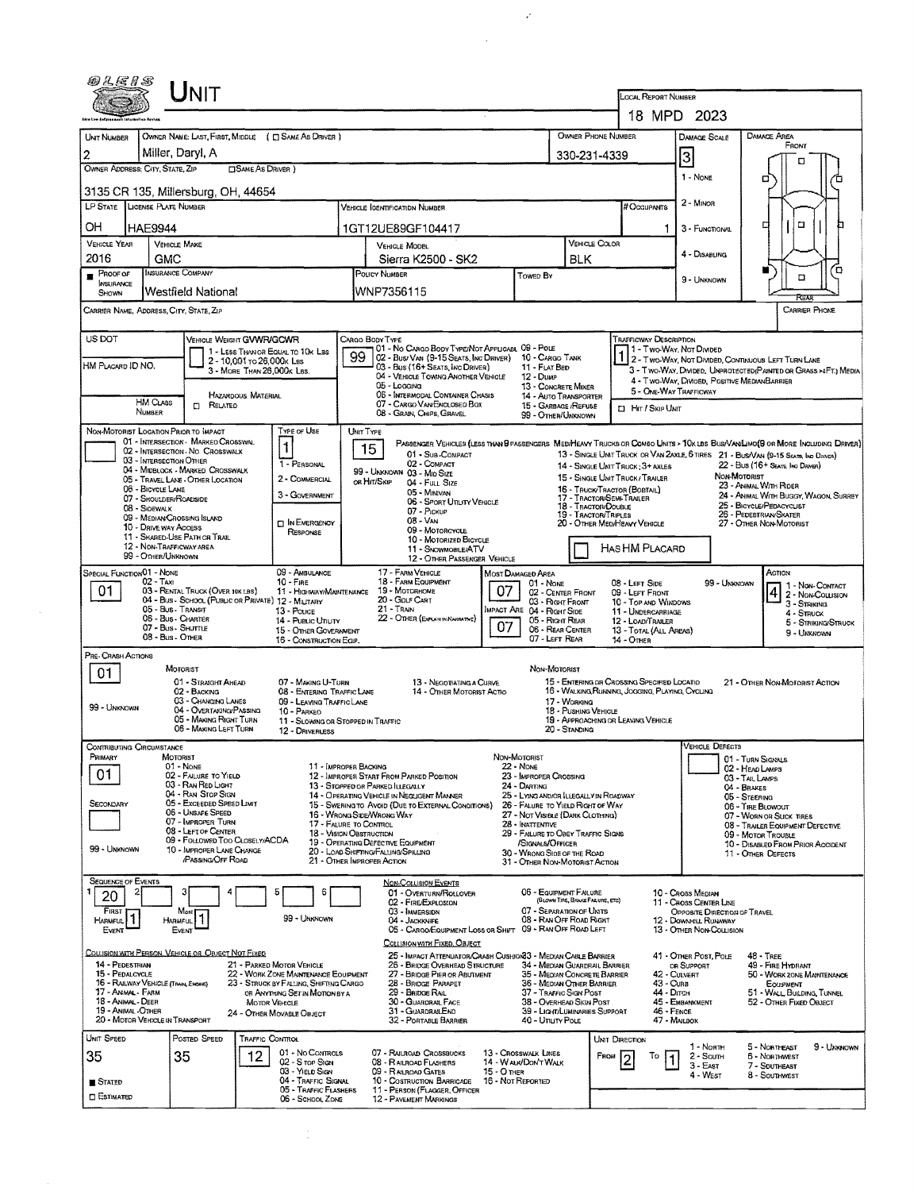| Unit                                                                                                                                                                                                                                                                                                                                                                                   |                                                                                                                                                                                                        |                                                                                                                                                                                                                                                                                                                                                                                                                       |                                                                                                                                                                                                                                                                                                                                      |                                                                                                                                                                                                                                   |                                                                                                                                         |                                                                                                                                                                                                                                                                                          |  |  |  |  |
|----------------------------------------------------------------------------------------------------------------------------------------------------------------------------------------------------------------------------------------------------------------------------------------------------------------------------------------------------------------------------------------|--------------------------------------------------------------------------------------------------------------------------------------------------------------------------------------------------------|-----------------------------------------------------------------------------------------------------------------------------------------------------------------------------------------------------------------------------------------------------------------------------------------------------------------------------------------------------------------------------------------------------------------------|--------------------------------------------------------------------------------------------------------------------------------------------------------------------------------------------------------------------------------------------------------------------------------------------------------------------------------------|-----------------------------------------------------------------------------------------------------------------------------------------------------------------------------------------------------------------------------------|-----------------------------------------------------------------------------------------------------------------------------------------|------------------------------------------------------------------------------------------------------------------------------------------------------------------------------------------------------------------------------------------------------------------------------------------|--|--|--|--|
|                                                                                                                                                                                                                                                                                                                                                                                        |                                                                                                                                                                                                        |                                                                                                                                                                                                                                                                                                                                                                                                                       |                                                                                                                                                                                                                                                                                                                                      |                                                                                                                                                                                                                                   | <b>LOCAL REPORT NUMBER</b><br>18 MPD 2023                                                                                               |                                                                                                                                                                                                                                                                                          |  |  |  |  |
| UNIT NUMBER<br>Miller, Daryl, A<br>2                                                                                                                                                                                                                                                                                                                                                   | OWNER NAME: LAST, FIRST, MIDDLE ( C SAME AS DRIVER )                                                                                                                                                   |                                                                                                                                                                                                                                                                                                                                                                                                                       | 330-231-4339                                                                                                                                                                                                                                                                                                                         | OWNER PHONE NUMBER                                                                                                                                                                                                                | DAMAGE SCALE<br>3                                                                                                                       | DAMAGE AREA<br>FRONT<br>п                                                                                                                                                                                                                                                                |  |  |  |  |
| OWNER ADDRESS: CITY, STATE, ZIP                                                                                                                                                                                                                                                                                                                                                        | <b>OSAME AS DRIVER</b> )                                                                                                                                                                               |                                                                                                                                                                                                                                                                                                                                                                                                                       |                                                                                                                                                                                                                                                                                                                                      |                                                                                                                                                                                                                                   | 1 - NONE                                                                                                                                | п                                                                                                                                                                                                                                                                                        |  |  |  |  |
| 3135 CR 135, Millersburg, OH, 44654<br>LP STATE LICENSE PLATE NUMBER                                                                                                                                                                                                                                                                                                                   |                                                                                                                                                                                                        | Vehicle Identification Number                                                                                                                                                                                                                                                                                                                                                                                         |                                                                                                                                                                                                                                                                                                                                      | # Occupants                                                                                                                                                                                                                       | $2 -$ MINOR                                                                                                                             |                                                                                                                                                                                                                                                                                          |  |  |  |  |
| OН<br><b>HAE9944</b>                                                                                                                                                                                                                                                                                                                                                                   |                                                                                                                                                                                                        | 1GT12UE89GF104417                                                                                                                                                                                                                                                                                                                                                                                                     |                                                                                                                                                                                                                                                                                                                                      |                                                                                                                                                                                                                                   | 3 - FUNCTIONAL                                                                                                                          | п<br>□                                                                                                                                                                                                                                                                                   |  |  |  |  |
| <b>VEHICLE YEAR</b><br><b>VEHICLE MAKE</b>                                                                                                                                                                                                                                                                                                                                             |                                                                                                                                                                                                        | <b>VEHICLE MODEL</b>                                                                                                                                                                                                                                                                                                                                                                                                  |                                                                                                                                                                                                                                                                                                                                      | VEHICLE COLOR                                                                                                                                                                                                                     | 4 - DISABLING                                                                                                                           |                                                                                                                                                                                                                                                                                          |  |  |  |  |
| 2016<br><b>GMC</b><br><b>INSURANCE COMPANY</b><br>$P$ ROOF OF                                                                                                                                                                                                                                                                                                                          |                                                                                                                                                                                                        | Sierra K2500 - SK2<br>POLICY NUMBER                                                                                                                                                                                                                                                                                                                                                                                   | <b>BLK</b><br>Towen By                                                                                                                                                                                                                                                                                                               |                                                                                                                                                                                                                                   |                                                                                                                                         | ′¤<br>$\Box$                                                                                                                                                                                                                                                                             |  |  |  |  |
| <b>INSURANCE</b><br>Westfield National<br>SHOWN                                                                                                                                                                                                                                                                                                                                        |                                                                                                                                                                                                        | WNP7356115                                                                                                                                                                                                                                                                                                                                                                                                            |                                                                                                                                                                                                                                                                                                                                      |                                                                                                                                                                                                                                   | 9 - UNKNOWN                                                                                                                             |                                                                                                                                                                                                                                                                                          |  |  |  |  |
| CARRIER NAME, ADDRESS, CITY, STATE, ZIP                                                                                                                                                                                                                                                                                                                                                |                                                                                                                                                                                                        |                                                                                                                                                                                                                                                                                                                                                                                                                       |                                                                                                                                                                                                                                                                                                                                      |                                                                                                                                                                                                                                   |                                                                                                                                         | CARRIER PHONE                                                                                                                                                                                                                                                                            |  |  |  |  |
| US DOT<br>HM PLACARD ID NO.<br><b>HM CLASS</b>                                                                                                                                                                                                                                                                                                                                         | VEHICLE WEIGHT GVWR/GCWR<br>1 - LESS THAN OR EQUAL TO 10K LBS<br>2 - 10,001 To 26,000k Las<br>3 - MORE THAN 26,000K LBS.<br>HAZARDOUS MATERIAL                                                         | CARGO BODY TYPE<br>101 - No CARGO BODY TYPE/NOT APPLICABL 09 - POLE<br>99<br>02 - Bus/Van (9-15 Seats, Inc Driver)<br>03 - Bus (16+ Seats, Inc Driver)<br>04 - VEHICLE TOWING ANOTHER VEHICLE<br>05 - Locaina<br>06 - INTERMODAL CONTAINER CHASIS                                                                                                                                                                     | 10 - Cargo Tank<br>11 - FLAT BED<br>12 - Dump<br>13 - CONCRETE MIXER<br>14 - AUTO TRANSPORTER                                                                                                                                                                                                                                        | <b>TRAFFICWAY DESCRIPTION</b><br>5 - ONE-WAY TRAFFICWAY                                                                                                                                                                           | 1 - Two-Way, Not Divided<br>4 - Two-Way, DIVIDED, POSITIVE MEDIANBARRIER                                                                | 1 2 - I WO-VVAY, I'VOI LUWUGU<br>2 - T WO-WAY, NOT DIVIDED, CONTINUOUS LEFT TURN LANE<br>3 - Two-Way, Divideo, Unprotected(Painted or Grass >4FT.) Media                                                                                                                                 |  |  |  |  |
| $\Box$ Related<br>NUMBER                                                                                                                                                                                                                                                                                                                                                               |                                                                                                                                                                                                        | 07 - CARGO VAN ENCLOSED BOX<br>08 - GRAIN, CHIPS, GRAVEL                                                                                                                                                                                                                                                                                                                                                              | 15 - GARBAGE /REFUSE<br>99 - OTHER/UNKNOWN                                                                                                                                                                                                                                                                                           | <b>II Hit / SKIP UNIT</b>                                                                                                                                                                                                         |                                                                                                                                         |                                                                                                                                                                                                                                                                                          |  |  |  |  |
| 01 - INTERSECTION - MARKEO CROSSWAL<br>02 - INTERSECTION - NO CROSSWALK<br>03 - INTERSECTION OTHER<br>04 - MIDBLOCK - MARKED CROSSWALK<br>05 - TRAVEL LANE - OTHER LOCATION<br>06 - BICYCLE LANE<br>07 - SHOULDER/ROADSIDE<br>08 - Sidewalk<br>09 - MEDIAN CROSSING ISLAND<br>10 - DRIVE WAY ACCESS<br>11 - SHARED-USE PATH OR TRAIL<br>12 - NON-TRAFFICWAY AREA<br>99 - OTHER/UNKNOWN | $\mathbf{1}$<br>1 - PERSONAL<br>2 - COMMERCIAL<br>3 - GOVERNMENT<br><b>TI IN EMERGENCY</b><br>RESPONSE                                                                                                 | PASSENGER VEHICLES (LESS THAN 9 PASSENGERS MEDIMEARY TRUCKS OR COMBO UNITS > 10K LBS BUS/VAN/LIMO(9 OR MORE INCLUDING DRIVER)<br>15<br>01 - Sub-COMPACT<br>02 - COMPACT<br>99 - UNKNOWN 03 - MID SIZE<br>or Hit/Skip<br>04 - Full Size<br>05 - Minevan<br>06 - SPORT UTILITY VEHICLE<br>07 - PICKUP<br>$08 - VAN$<br>09 - MOTORCYCLE<br>10 - MOTORIZED BICYCLE<br>11 - SNOWMOBILE/ATV<br>12 - OTHER PASSENGER VEHICLE |                                                                                                                                                                                                                                                                                                                                      | 14 - SINGLE UNIT TRUCK; 3+ AXLES<br>15 - SINGLE UNIT TRUCK/ TRAILER<br>16 - TRUCK/TRACTOR (BOBTAIL)<br>17 - Tractor/Semi-Trailer<br>18 - Tractor/Double<br>19 - TRACTORITRIPLES<br>20 - Other MediHeavy Vehicle<br>HAS HM PLACARD |                                                                                                                                         | 13 - SINGLE UNIT TRUCK OR VAN 2AXLE, 6 TIRES 21 - BUS/VAN (9-15 SEATS, INC DAVER)<br>22 - Bus (16+ Seats, Ing Danga)<br>NON-MOTORIST<br>23 - ANIMAL WITH RIDER<br>24 - ANIMAL WITH BUGGY, WAGON, SURREY<br>25 - BICYCLE/PEDACYCLIST<br>26 - PEDESTRIAN/SKATER<br>27 - OTHER NON-MOTORIST |  |  |  |  |
| SPECIAL FUNCTION 01 - NONE<br>02 - Taxi<br>01<br>03 - RENTAL TRUCK (OVER 10K LBS)<br>05 - Bus - Transit<br>06 - Bus - Charter<br>07 - Bus - SHUTTLE<br>08 - Bus - OTHER                                                                                                                                                                                                                | 09 - AMBULANCE<br>$10 -$ Fine<br>11 - HIGHWAY/MAINTENANCE<br>04 - Bus - SCHOOL (PUBLIC OR PRIVATE) 12 - MILITARY<br>13 - Pouce<br>14 - Pueuc Unury<br>15 - OTHER GOVERAMENT<br>16 - CONSTRUCTION EQIP. | 17 - FARM VEHICLE<br>18 - FARM EQUIPMENT<br>07<br>19 - Мотояноме<br>20 - Golf Cart<br>$21 -$ TRAIN<br>22 - OTHER (EXPLAIN IN NARRATIVE)<br>07                                                                                                                                                                                                                                                                         | MOST DAMAGED AREA<br>$01 - None$<br>02 - CENTER FRONT<br>03 - RIGHT FRONT<br>IMPACT ARE 04 - RIGHT SIDE<br>05 - Right Rear<br>06 - REAR CENTER<br>07 - LEFT REAR                                                                                                                                                                     | 08 - LEFT SIDE<br>09 - LEFT FRONT<br>10 - TOP AND WINDOWS<br>11 - UNDERCABRIAGE<br>12 - LOAD/TRAILER<br>13 - TOTAL (ALL AREAS)<br>14 - Отнев                                                                                      | 99 - UNKNOWN                                                                                                                            | ACTION<br>1 1 NON-CONTACT<br>4<br>2 - Non-Couusion<br>3 - STRIKING<br>4 - STRUCK<br>5 - STRIKING/STRUCK<br>9 - UNKNOWN                                                                                                                                                                   |  |  |  |  |
| PRE- CRASH ACTIONS<br>MOTORIST<br>01<br>01 - STRAIGHT AHEAD<br>02 - BACKING<br>03 - CHANGING LANES<br>99 - UNKNOWN<br>04 - OVERTAKING/PASSING<br>05 - MAKING RIGHT TURN<br>06 - MAKING LEFT TURN                                                                                                                                                                                       | 07 - MAKING U-TURN<br>08 - ENTERING TRAFFIC LANE<br>09 - LEAVING TRAFFIC LANE<br>10 - PARKED<br>12 - DRIVERLESS                                                                                        | 13 - Negotiating a Curve<br>14 - OTHER MOTORIST ACTIO<br>11 - SLOWING OR STOPPED IN TRAFFIC                                                                                                                                                                                                                                                                                                                           | Non-MOTORIST<br>17 - Working<br>18 - PUSHING VEHICLE<br>20 - STANDING                                                                                                                                                                                                                                                                | 15 - ENTERING OR CROSSING SPECIFIED LOCATIO<br>16 - WALKING, RUNNING, JOGGING, PLAYING, CYCLING<br>19 - APPROACHING OR LEAVING VEHICLE                                                                                            |                                                                                                                                         | 21 - OTHER NON-MOTORIST ACTION                                                                                                                                                                                                                                                           |  |  |  |  |
| JONTRIBUTING CIRCUMSTANCE<br>PRIMARY<br>MOTORIST<br>01 - NONE<br>01<br>02 - FAILURE TO YIELD<br>03 - RAN RED LIGHT<br>04 - RAN STOP SIGN<br>05 - Exceeded Speed Limit<br>SECONDARY<br>06 - UNSAFE SPEED<br>07 - IMPROPER TURN<br>08 - LEFT OF CENTER<br>09 - FOLLOWED TOO CLOSELY/ACDA<br>99 - UNKNOWN<br>10 - IMPROPER LANE CHANGE<br>PASSING OFF ROAD                                |                                                                                                                                                                                                        | 11 - IMPROPER BACKING<br>12 - IMPROPER START FROM PARKED POSITION<br>13 - STOPPED OR PARKED ILLEGALLY<br>14 - OPERATING VEHICLE IN NEGLIGENT MANNER<br>15 - SWERINGTO AVOID (DUE TO EXTERNAL CONDITIONS)<br>16 - WRONG SIDE/WRONG WAY<br>17 - FALURE TO CONTROL<br>18 - Viston Obstruction<br>19 - OPERATING DEFECTIVE EQUIPMENT<br>20 - LOAD SHIFTING/FALUNG/SPILLING<br>21 - Отнея Імряорев Астюм                   | NON-MOTORIST<br>22 - None<br>23 - IMPROPER CROSSING<br>24 - DARTING<br>25 - LYING AND/OR LLEGALLY IN ROADWAY<br>26 - FALURE TO YIELD RIGHT OF WAY<br>27 - NOT VISIBLE (DARK CLOTHING)<br>28 - INATTENTIVE<br>29 - FAILURE TO OBEY TRAFFIC SIGNS<br>/SIGNALS/OFFICER<br>30 - WRONG SIDE OF THE ROAD<br>31 - OTHER NON-MOTORIST ACTION |                                                                                                                                                                                                                                   | VEHICLE DEFECTS                                                                                                                         | 01 - TURN SIGNALS<br>02 - HEAD LAMPS<br>03 - TAIL LAMPS<br>04 - BRAKES<br>05 - STEERING<br>06 - TIRE BLOWDUT<br>07 - WORN OR SLICK TIRES<br>08 - TRAILER EQUIPMENT DEFECTIVE<br>09 - MOTOR TROUBLE<br>10 - DISABLED FROM PRIOR ACCIDENT<br>11 - OTHER DEFECTS                            |  |  |  |  |
| <b>SEQUENCE OF EVENTS</b><br>2<br>20<br>$F$ irst $F$<br>Most<br>HARMFUL <sup>1</sup><br>HARMFUL <sup>1</sup><br>Event<br>Event                                                                                                                                                                                                                                                         | 6<br>5<br>99 - Unknown                                                                                                                                                                                 | <b>NON-COLLISION EVENTS</b><br>01 - OVERTURN/ROLLOVER<br>02 - FIRE/EXPLOSION<br>03 - IMMERSION<br>04 - JACKKNIFE<br>05 - CARGO/EQUIPMENT LOSS OR SHIFT 09 - RAN OFF ROAD LEFT<br>COLLISION WITH FIXED, OBJECT                                                                                                                                                                                                         | 06 - EQUIPMENT FAILURE<br>(BLOWN TIRE, BRAKE FAILURE, ETC)<br>07 - SEPARATION OF UNITS<br>08 - RAN OFF ROAD RIGHT                                                                                                                                                                                                                    |                                                                                                                                                                                                                                   | 10 - Cross Median<br>11 - Cross Center Line<br><b>OPPOSITE DIRECTION OF TRAVEL</b><br>12 - DOWNHILL RUNAWAY<br>13 - OTHER NON-COLLISION |                                                                                                                                                                                                                                                                                          |  |  |  |  |
| COLLISION WITH PERSON, VEHICLE OR OBJECT NOT FIXED<br>14 - PEDESTRIAN<br>15 - PEDALCYCLE<br>16 - RAILWAY VEHICLE (TRAIN, ENGINE)<br>17 - Animal - Farm<br>18 - Animal - Deer<br>19 - Animal -Other<br>20 - MOTOR VEHICLE IN TRANSPORT                                                                                                                                                  | 21 - PARKED MOTOR VEHICLE<br>22 - WORK ZONE MAINTENANCE EQUIPMENT<br>23 - STRUCK BY FALLING, SHIFTING CARGO<br>OR ANYTHING SET IN MOTION BY A<br><b>MOTOR VEHICLE</b><br>24 - OTHER MOVABLE OBJECT     | 25 - Impact Attenuator/Crash Cushion 33 - Median Cable Barrier<br>25 - BRIDGE OVERHEAD STRUCTURE<br>27 - BRIDGE PIER OR ABUTMENT<br>28 - Bridge Parapet<br>29 - BRIDGE RAIL<br>30 - GUARDRAIL FACE<br>31 - GUARDRAILEND<br>32 - PORTABLE BARRIER                                                                                                                                                                      | 34 - MEDIAN GUARDRAIL BARRIER<br>35 - MEDIAN CONCRETE BARRIER<br>36 - MEDIAN OTHER BARRIER<br>37 - TRAFFIC SIGN POST<br>38 - OVERHEAD SIGN POST<br>39 - LIGHT/LUMINARIES SUPPORT<br>40 - Unury PoLE                                                                                                                                  | 43 - Curb<br>44 - Олсн<br>46 - FENCE                                                                                                                                                                                              | 41 - OTHER POST, POLE<br>OR SUPPORT<br>42 - Culvert<br>45 - EMBANKMENT<br>47 - MAILBOX                                                  | $48 -$ TREE<br>49 - FIRE HYDRANT<br>50 - WORK ZONE MAINTENANCE<br>EOUPMENT<br>51 - WALL, BUILDING, TUNNEL<br>52 - OTHER FIXED OBJECT                                                                                                                                                     |  |  |  |  |
| UNIT SPEED<br>POSTED SPEED<br>35<br>35<br>STATED<br><b>CI ESTIMATED</b>                                                                                                                                                                                                                                                                                                                | TRAFFIC CONTROL<br>01 - No Controls<br>12<br>02 - S TOP SIGN<br>03 - YIELD SIGN<br>04 - TRAFFIC SIGNAL<br>05 - TRAFFIC FLASHERS<br>06 - SCHOOL ZONE                                                    | 07 - RAILROAD CROSSBUCKS<br>08 - RAILROAD FLASHERS<br>09 - RAILROAD GATES<br>$15 - 0$ THER<br>10 - COSTRUCTION BARRICADE<br>16 - Not Reported<br>11 - PERSON (FLAGGER, OFFICER<br><b>12 - PAVEMENT MARKINGS</b>                                                                                                                                                                                                       | 13 - Crosswalk Lines<br>14 - WALK/DON'T WALK                                                                                                                                                                                                                                                                                         | UNIT DIRECTION<br>Гяом<br>То                                                                                                                                                                                                      | 1 - North<br>2 - Soum<br>$3 - E$ AST<br>4 - West                                                                                        | 5 - Northeast<br>9 - UNKNOWN<br>6 - NORTHWEST<br>7 - SDUTHEAST<br>8 - Southwest                                                                                                                                                                                                          |  |  |  |  |

 $\label{eq:2} \begin{split} \frac{1}{\sqrt{2}}\frac{1}{\sqrt{2}}\frac{d\mathcal{L}}{d\mathcal{L}}\frac{d\mathcal{L}}{d\mathcal{L}}\frac{d\mathcal{L}}{d\mathcal{L}}\frac{d\mathcal{L}}{d\mathcal{L}}\frac{d\mathcal{L}}{d\mathcal{L}}\frac{d\mathcal{L}}{d\mathcal{L}}\frac{d\mathcal{L}}{d\mathcal{L}}\frac{d\mathcal{L}}{d\mathcal{L}}\frac{d\mathcal{L}}{d\mathcal{L}}\frac{d\mathcal{L}}{d\mathcal{L}}\frac{d\mathcal{$